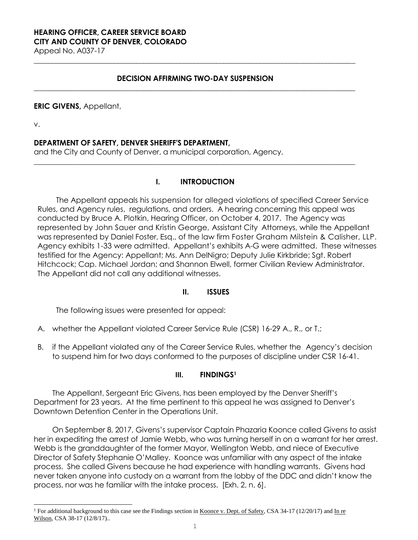# **HEARING OFFICER, CAREER SERVICE BOARD CITY AND COUNTY OF DENVER, COLORADO**

Appeal No. A037-17 **\_\_\_\_\_\_\_\_\_\_\_\_\_\_\_\_\_\_\_\_\_\_\_\_\_\_\_\_\_\_\_\_\_\_\_\_\_\_\_\_\_\_\_\_\_\_\_\_\_\_\_\_\_\_\_\_\_\_\_\_\_\_\_\_\_\_\_\_\_\_\_\_\_\_\_\_\_\_\_\_\_\_\_\_\_\_\_\_**

# **DECISION AFFIRMING TWO-DAY SUSPENSION \_\_\_\_\_\_\_\_\_\_\_\_\_\_\_\_\_\_\_\_\_\_\_\_\_\_\_\_\_\_\_\_\_\_\_\_\_\_\_\_\_\_\_\_\_\_\_\_\_\_\_\_\_\_\_\_\_\_\_\_\_\_\_\_\_\_\_\_\_\_\_\_\_\_\_\_\_\_\_\_\_\_\_\_\_\_\_\_**

### **ERIC GIVENS,** Appellant,

v.

L

# **DEPARTMENT OF SAFETY, DENVER SHERIFF'S DEPARTMENT,**

and the City and County of Denver, a municipal corporation, Agency.

# **I. INTRODUCTION**

**\_\_\_\_\_\_\_\_\_\_\_\_\_\_\_\_\_\_\_\_\_\_\_\_\_\_\_\_\_\_\_\_\_\_\_\_\_\_\_\_\_\_\_\_\_\_\_\_\_\_\_\_\_\_\_\_\_\_\_\_\_\_\_\_\_\_\_\_\_\_\_\_\_\_\_\_\_\_\_\_\_\_\_\_\_\_\_\_**

The Appellant appeals his suspension for alleged violations of specified Career Service Rules, and Agency rules, regulations, and orders. A hearing concerning this appeal was conducted by Bruce A. Plotkin, Hearing Officer, on October 4, 2017. The Agency was represented by John Sauer and Kristin George, Assistant City Attorneys, while the Appellant was represented by Daniel Foster, Esq., of the law firm Foster Graham Milstein & Calisher, LLP. Agency exhibits 1-33 were admitted. Appellant's exhibits A-G were admitted. These witnesses testified for the Agency: Appellant; Ms. Ann DelNigro; Deputy Julie Kirkbride; Sgt. Robert Hitchcock; Cap. Michael Jordan; and Shannon Elwell, former Civilian Review Administrator. The Appellant did not call any additional witnesses.

# **II. ISSUES**

The following issues were presented for appeal:

- A. whether the Appellant violated Career Service Rule (CSR) 16-29 A., R., or T.;
- B. if the Appellant violated any of the Career Service Rules, whether the Agency's decision to suspend him for two days conformed to the purposes of discipline under CSR 16-41.

# **III. FINDINGS<sup>1</sup>**

The Appellant, Sergeant Eric Givens, has been employed by the Denver Sheriff's Department for 23 years. At the time pertinent to this appeal he was assigned to Denver's Downtown Detention Center in the Operations Unit.

On September 8, 2017, Givens's supervisor Captain Phazaria Koonce called Givens to assist her in expediting the arrest of Jamie Webb**,** who was turning herself in on a warrant for her arrest. Webb is the granddaughter of the former Mayor, Wellington Webb, and niece of Executive Director of Safety Stephanie O'Malley. Koonce was unfamiliar with any aspect of the intake process. She called Givens because he had experience with handling warrants. Givens had never taken anyone into custody on a warrant from the lobby of the DDC and didn't know the process, nor was he familiar with the intake process.[Exh. 2, n. 6].

<sup>&</sup>lt;sup>1</sup> For additional background to this case see the Findings section in Koonce v. Dept. of Safety, CSA 34-17 (12/20/17) and In re Wilson, CSA 38-17 (12/8/17)..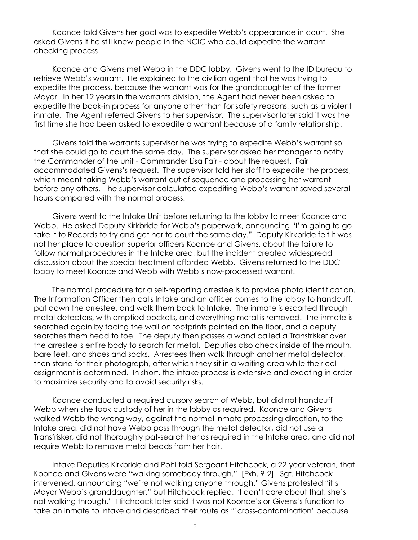Koonce told Givens her goal was to expedite Webb's appearance in court. She asked Givens if he still knew people in the NCIC who could expedite the warrantchecking process.

Koonce and Givens met Webb in the DDC lobby. Givens went to the ID bureau to retrieve Webb's warrant. He explained to the civilian agent that he was trying to expedite the process, because the warrant was for the granddaughter of the former Mayor. In her 12 years in the warrants division, the Agent had never been asked to expedite the book-in process for anyone other than for safety reasons, such as a violent inmate. The Agent referred Givens to her supervisor. The supervisor later said it was the first time she had been asked to expedite a warrant because of a family relationship.

Givens told the warrants supervisor he was trying to expedite Webb's warrant so that she could go to court the same day. The supervisor asked her manager to notify the Commander of the unit - Commander Lisa Fair - about the request. Fair accommodated Givens's request. The supervisor told her staff to expedite the process, which meant taking Webb's warrant out of sequence and processing her warrant before any others. The supervisor calculated expediting Webb's warrant saved several hours compared with the normal process.

Givens went to the Intake Unit before returning to the lobby to meet Koonce and Webb. He asked Deputy Kirkbride for Webb's paperwork, announcing "I'm going to go take it to Records to try and get her to court the same day." Deputy Kirkbride felt it was not her place to question superior officers Koonce and Givens, about the failure to follow normal procedures in the Intake area, but the incident created widespread discussion about the special treatment afforded Webb. Givens returned to the DDC lobby to meet Koonce and Webb with Webb's now-processed warrant.

The normal procedure for a self-reporting arrestee is to provide photo identification. The Information Officer then calls Intake and an officer comes to the lobby to handcuff, pat down the arrestee, and walk them back to Intake. The inmate is escorted through metal detectors, with emptied pockets, and everything metal is removed. The inmate is searched again by facing the wall on footprints painted on the floor, and a deputy searches them head to toe. The deputy then passes a wand called a Transfrisker over the arrestee's entire body to search for metal. Deputies also check inside of the mouth, bare feet, and shoes and socks. Arrestees then walk through another metal detector, then stand for their photograph, after which they sit in a waiting area while their cell assignment is determined. In short, the intake process is extensive and exacting in order to maximize security and to avoid security risks.

Koonce conducted a required cursory search of Webb, but did not handcuff Webb when she took custody of her in the lobby as required. Koonce and Givens walked Webb the wrong way, against the normal inmate processing direction, to the Intake area, did not have Webb pass through the metal detector, did not use a Transfrisker, did not thoroughly pat-search her as required in the Intake area, and did not require Webb to remove metal beads from her hair.

Intake Deputies Kirkbride and Pohl told Sergeant Hitchcock, a 22-year veteran, that Koonce and Givens were "walking somebody through." [Exh. 9-2]. Sgt. Hitchcock intervened, announcing "we're not walking anyone through." Givens protested "it's Mayor Webb's granddaughter," but Hitchcock replied, "I don't care about that, she's not walking through." Hitchcock later said it was not Koonce's or Givens's function to take an inmate to Intake and described their route as "'cross-contamination' because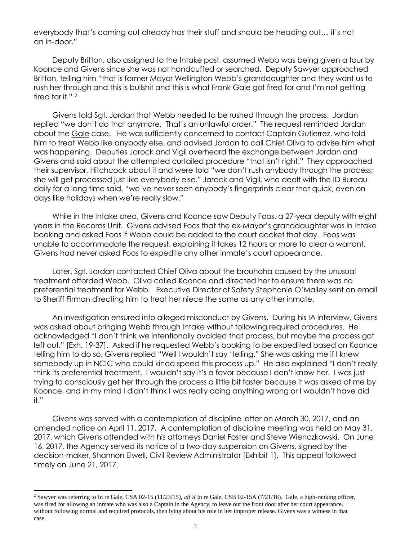everybody that's coming out already has their stuff and should be heading out… it's not an in-door."

Deputy Britton, also assigned to the Intake post, assumed Webb was being given a tour by Koonce and Givens since she was not handcuffed or searched. Deputy Sawyer approached Britton, telling him "that is former Mayor Wellington Webb's granddaughter and they want us to rush her through and this is bullshit and this is what Frank Gale got fired for and I'm not getting fired for it." <sup>2</sup>

Givens told Sgt. Jordan that Webb needed to be rushed through the process. Jordan replied "we don't do that anymore. That's an unlawful order." The request reminded Jordan about the Gale case. He was sufficiently concerned to contact Captain Gutierrez, who told him to treat Webb like anybody else, and advised Jordan to call Chief Oliva to advise him what was happening. Deputies Jarock and Vigil overheard the exchange between Jordan and Givens and said about the attempted curtailed procedure "that isn't right." They approached their supervisor, Hitchcock about it and were told "we don't rush anybody through the process; she will get processed just like everybody else." Jarock and Vigil, who dealt with the ID Bureau daily for a long time said, "we've never seen anybody's fingerprints clear that quick, even on days like holidays when we're really slow."

While in the Intake area, Givens and Koonce saw Deputy Foos, a 27-year deputy with eight years in the Records Unit. Givens advised Foos that the ex-Mayor's granddaughter was in Intake booking and asked Foos if Webb could be added to the court docket that day. Foos was unable to accommodate the request, explaining it takes 12 hours or more to clear a warrant. Givens had never asked Foos to expedite any other inmate's court appearance.

Later, Sgt. Jordan contacted Chief Oliva about the brouhaha caused by the unusual treatment afforded Webb. Oliva called Koonce and directed her to ensure there was no preferential treatment for Webb. Executive Director of Safety Stephanie O'Malley sent an email to Sheriff Firman directing him to treat her niece the same as any other inmate.

An investigation ensured into alleged misconduct by Givens. During his IA interview, Givens was asked about bringing Webb through Intake without following required procedures. He acknowledged "I don't think we intentionally avoided that process, but maybe the process got left out." [Exh. 19-37].Asked if he requested Webb's booking to be expedited based on Koonce telling him to do so, Givens replied "Well I wouldn't say 'telling." She was asking me if I knew somebody up in NCIC who could kinda speed this process up." He also explained "I don't really think its preferential treatment. I wouldn't say it's a favor because I don't know her. I was just trying to consciously get her through the process a little bit faster because it was asked of me by Koonce, and in my mind I didn't think I was really doing anything wrong or I wouldn't have did it."

Givens was served with a contemplation of discipline letter on March 30, 2017, and an amended notice on April 11, 2017. A contemplation of discipline meeting was held on May 31, 2017, which Givens attended with his attorneys Daniel Foster and Steve Wienczkowski. On June 16, 2017, the Agency served its notice of a two-day suspension on Givens, signed by the decision-maker, Shannon Elwell, Civil Review Administrator [Exhibit 1]. This appeal followed timely on June 21, 2017.

L

<sup>2</sup> Sawyer was referring to In re Gale, CSA 02-15 (11/23/15), *aff'd* In re Gale, CSB 02-15A (7/21/16). Gale, a high-ranking officer, was fired for allowing an inmate who was also a Captain in the Agency, to leave out the front door after her court appearance, without following normal and required protocols, then lying about his role in her improper release. Givens was a witness in that case.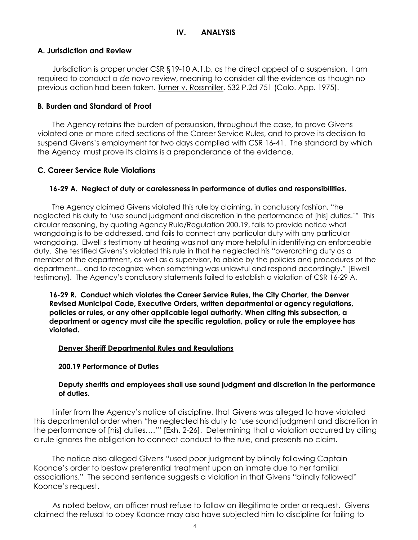# **IV. ANALYSIS**

### **A. Jurisdiction and Review**

Jurisdiction is proper under CSR §19-10 A.1.b, as the direct appeal of a suspension. I am required to conduct a *de novo* review, meaning to consider all the evidence as though no previous action had been taken. Turner v. Rossmiller, 532 P.2d 751 (Colo. App. 1975).

### **B. Burden and Standard of Proof**

The Agency retains the burden of persuasion, throughout the case, to prove Givens violated one or more cited sections of the Career Service Rules, and to prove its decision to suspend Givens's employment for two days complied with CSR 16-41. The standard by which the Agency must prove its claims is a preponderance of the evidence.

# **C. Career Service Rule Violations**

### **16-29 A. Neglect of duty or carelessness in performance of duties and responsibilities.**

The Agency claimed Givens violated this rule by claiming, in conclusory fashion, "he neglected his duty to 'use sound judgment and discretion in the performance of [his] duties.'" This circular reasoning, by quoting Agency Rule/Regulation 200.19, fails to provide notice what wrongdoing is to be addressed, and fails to connect any particular duty with any particular wrongdoing. Elwell's testimony at hearing was not any more helpful in identifying an enforceable duty. She testified Givens's violated this rule in that he neglected his "overarching duty as a member of the department, as well as a supervisor, to abide by the policies and procedures of the department... and to recognize when something was unlawful and respond accordingly." [Elwell testimony]. The Agency's conclusory statements failed to establish a violation of CSR 16-29 A.

**16-29 R. Conduct which violates the Career Service Rules, the City Charter, the Denver Revised Municipal Code, Executive Orders, written departmental or agency regulations, policies or rules, or any other applicable legal authority. When citing this subsection, a department or agency must cite the specific regulation, policy or rule the employee has violated.** 

#### **Denver Sheriff Departmental Rules and Regulations**

#### **200.19 Performance of Duties**

### **Deputy sheriffs and employees shall use sound judgment and discretion in the performance of duties.**

I infer from the Agency's notice of discipline, that Givens was alleged to have violated this departmental order when "he neglected his duty to 'use sound judgment and discretion in the performance of [his] duties….'" [Exh. 2-26]. Determining that a violation occurred by citing a rule ignores the obligation to connect conduct to the rule, and presents no claim.

The notice also alleged Givens "used poor judgment by blindly following Captain Koonce's order to bestow preferential treatment upon an inmate due to her familial associations." The second sentence suggests a violation in that Givens "blindly followed" Koonce's request.

As noted below, an officer must refuse to follow an illegitimate order or request. Givens claimed the refusal to obey Koonce may also have subjected him to discipline for failing to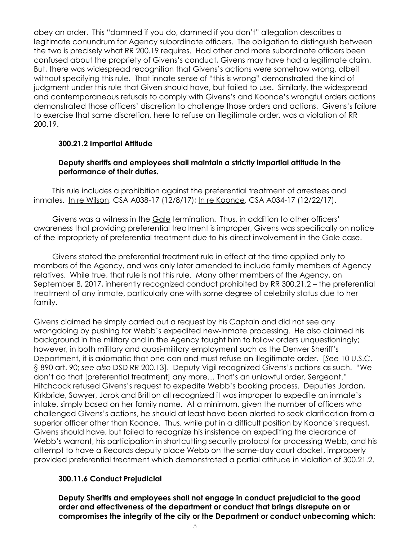obey an order. This "damned if you do, damned if you don't" allegation describes a legitimate conundrum for Agency subordinate officers. The obligation to distinguish between the two is precisely what RR 200.19 requires. Had other and more subordinate officers been confused about the propriety of Givens's conduct, Givens may have had a legitimate claim. But, there was widespread recognition that Givens's actions were somehow wrong, albeit without specifying this rule. That innate sense of "this is wrong" demonstrated the kind of judgment under this rule that Given should have, but failed to use. Similarly, the widespread and contemporaneous refusals to comply with Givens's and Koonce's wrongful orders actions demonstrated those officers' discretion to challenge those orders and actions. Givens's failure to exercise that same discretion, here to refuse an illegitimate order, was a violation of RR 200.19.

# **300.21.2 Impartial Attitude**

# **Deputy sheriffs and employees shall maintain a strictly impartial attitude in the performance of their duties.**

This rule includes a prohibition against the preferential treatment of arrestees and inmates. In re Wilson, CSA A038-17 (12/8/17); In re Koonce, CSA A034-17 (12/22/17).

Givens was a witness in the Gale termination. Thus, in addition to other officers' awareness that providing preferential treatment is improper, Givens was specifically on notice of the impropriety of preferential treatment due to his direct involvement in the Gale case.

Givens stated the preferential treatment rule in effect at the time applied only to members of the Agency, and was only later amended to include family members of Agency relatives. While true, that rule is not this rule. Many other members of the Agency, on September 8, 2017, inherently recognized conduct prohibited by RR 300.21.2 – the preferential treatment of any inmate, particularly one with some degree of celebrity status due to her family.

Givens claimed he simply carried out a request by his Captain and did not see any wrongdoing by pushing for Webb's expedited new-inmate processing. He also claimed his background in the military and in the Agency taught him to follow orders unquestioningly; however, in both military and quasi-military employment such as the Denver Sheriff's Department, it is axiomatic that one can and must refuse an illegitimate order. [*See* 10 U.S.C. § 890 art. 90; *see also* DSD RR 200.13]. Deputy Vigil recognized Givens's actions as such. "We don't do that [preferential treatment] any more… That's an unlawful order, Sergeant." Hitchcock refused Givens's request to expedite Webb's booking process. Deputies Jordan, Kirkbride, Sawyer, Jarok and Britton all recognized it was improper to expedite an inmate's intake, simply based on her family name. At a minimum, given the number of officers who challenged Givens's actions, he should at least have been alerted to seek clarification from a superior officer other than Koonce. Thus, while put in a difficult position by Koonce's request, Givens should have, but failed to recognize his insistence on expediting the clearance of Webb's warrant, his participation in shortcutting security protocol for processing Webb, and his attempt to have a Records deputy place Webb on the same-day court docket, improperly provided preferential treatment which demonstrated a partial attitude in violation of 300.21.2.

# **300.11.6 Conduct Prejudicial**

**Deputy Sheriffs and employees shall not engage in conduct prejudicial to the good order and effectiveness of the department or conduct that brings disrepute on or compromises the integrity of the city or the Department or conduct unbecoming which:**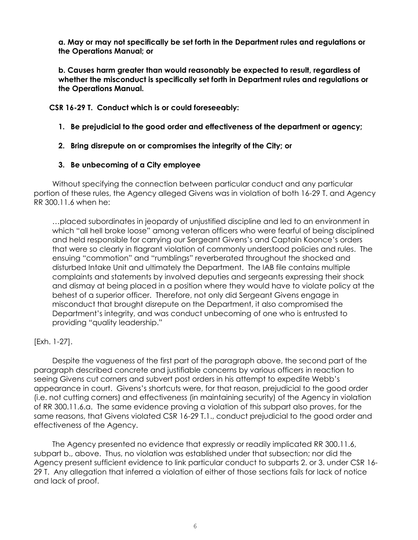**a. May or may not specifically be set forth in the Department rules and regulations or the Operations Manual; or**

**b. Causes harm greater than would reasonably be expected to result, regardless of whether the misconduct is specifically set forth in Department rules and regulations or the Operations Manual.**

**CSR 16-29 T. Conduct which is or could foreseeably:**

- **1. Be prejudicial to the good order and effectiveness of the department or agency;**
- **2. Bring disrepute on or compromises the integrity of the City; or**
- **3. Be unbecoming of a City employee**

Without specifying the connection between particular conduct and any particular portion of these rules, the Agency alleged Givens was in violation of both 16-29 T. and Agency RR 300.11.6 when he:

…placed subordinates in jeopardy of unjustified discipline and led to an environment in which "all hell broke loose" among veteran officers who were fearful of being disciplined and held responsible for carrying our Sergeant Givens's and Captain Koonce's orders that were so clearly in flagrant violation of commonly understood policies and rules. The ensuing "commotion" and "rumblings" reverberated throughout the shocked and disturbed Intake Unit and ultimately the Department. The IAB file contains multiple complaints and statements by involved deputies and sergeants expressing their shock and dismay at being placed in a position where they would have to violate policy at the behest of a superior officer. Therefore, not only did Sergeant Givens engage in misconduct that brought disrepute on the Department, it also compromised the Department's integrity, and was conduct unbecoming of one who is entrusted to providing "quality leadership."

# [Exh. 1-27].

Despite the vagueness of the first part of the paragraph above, the second part of the paragraph described concrete and justifiable concerns by various officers in reaction to seeing Givens cut corners and subvert post orders in his attempt to expedite Webb's appearance in court. Givens's shortcuts were, for that reason, prejudicial to the good order (i.e. not cutting corners) and effectiveness (in maintaining security) of the Agency in violation of RR 300.11.6.a. The same evidence proving a violation of this subpart also proves, for the same reasons, that Givens violated CSR 16-29 T.1., conduct prejudicial to the good order and effectiveness of the Agency.

The Agency presented no evidence that expressly or readily implicated RR 300.11.6, subpart b., above. Thus, no violation was established under that subsection; nor did the Agency present sufficient evidence to link particular conduct to subparts 2. or 3. under CSR 16- 29 T. Any allegation that inferred a violation of either of those sections fails for lack of notice and lack of proof.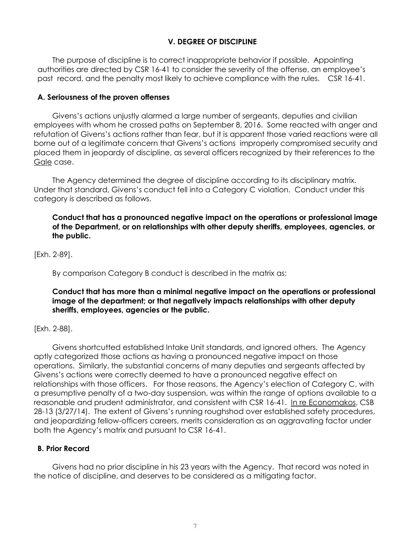# **V. DEGREE OF DISCIPLINE**

The purpose of discipline is to correct inappropriate behavior if possible. Appointing authorities are directed by CSR 16-41 to consider the severity of the offense, an employee's past record, and the penalty most likely to achieve compliance with the rules. CSR 16-41.

### **A. Seriousness of the proven offenses**

Givens's actions unjustly alarmed a large number of sergeants, deputies and civilian employees with whom he crossed paths on September 8, 2016. Some reacted with anger and refutation of Givens's actions rather than fear, but it is apparent those varied reactions were all borne out of a legitimate concern that Givens's actions improperly compromised security and placed them in jeopardy of discipline, as several officers recognized by their references to the Gale case.

The Agency determined the degree of discipline according to its disciplinary matrix. Under that standard, Givens's conduct fell into a Category C violation. Conduct under this category is described as follows.

# **Conduct that has a pronounced negative impact on the operations or professional image of the Department, or on relationships with other deputy sheriffs, employees, agencies, or the public.**

[Exh. 2-89].

By comparison Category B conduct is described in the matrix as:

# **Conduct that has more than a minimal negative impact on the operations or professional image of the department; or that negatively impacts relationships with other deputy sheriffs, employees, agencies or the public.**

# [Exh. 2-88].

Givens shortcutted established Intake Unit standards, and ignored others. The Agency aptly categorized those actions as having a pronounced negative impact on those operations. Similarly, the substantial concerns of many deputies and sergeants affected by Givens's actions were correctly deemed to have a pronounced negative effect on relationships with those officers. For those reasons, the Agency's election of Category C, with a presumptive penalty of a two-day suspension, was within the range of options available to a reasonable and prudent administrator, and consistent with CSR 16-41. In re Economakos, CSB 28-13 (3/27/14). The extent of Givens's running roughshod over established safety procedures, and jeopardizing fellow-officers careers, merits consideration as an aggravating factor under both the Agency's matrix and pursuant to CSR 16-41.

# **B. Prior Record**

Givens had no prior discipline in his 23 years with the Agency. That record was noted in the notice of discipline, and deserves to be considered as a mitigating factor.